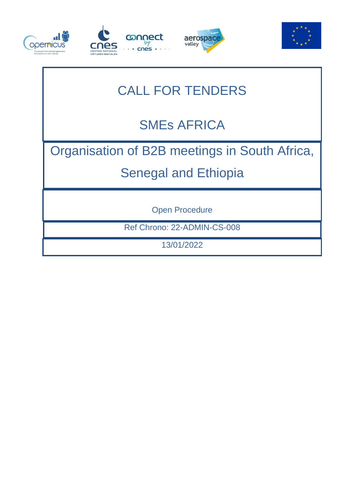







# CALL FOR TENDERS

# SMEs AFRICA

# Organisation of B2B meetings in South Africa,

# Senegal and Ethiopia

Open Procedure

Ref Chrono: 22-ADMIN-CS-008

13/01/2022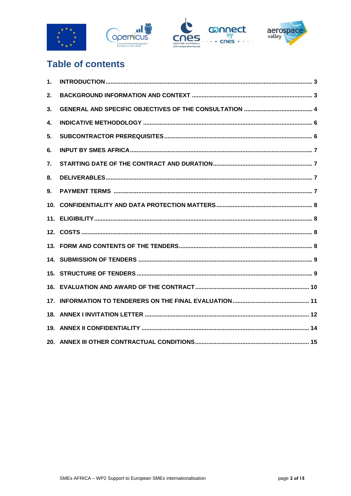





## **Table of contents**

| 1.              |  |
|-----------------|--|
| 2.              |  |
| 3.              |  |
| 4.              |  |
| 5.              |  |
| 6.              |  |
| 7.              |  |
| 8.              |  |
| 9.              |  |
| 10 <sub>1</sub> |  |
|                 |  |
|                 |  |
|                 |  |
|                 |  |
|                 |  |
|                 |  |
|                 |  |
|                 |  |
|                 |  |
|                 |  |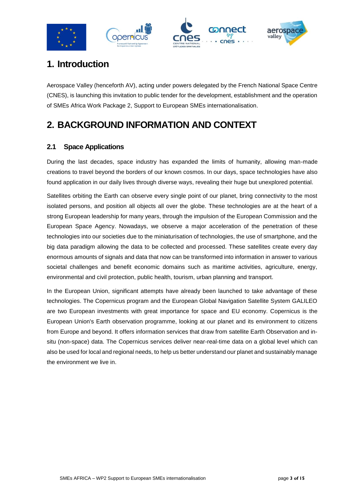

### <span id="page-2-0"></span>**1. Introduction**

Aerospace Valley (henceforth AV), acting under powers delegated by the French National Space Centre (CNES), is launching this invitation to public tender for the development, establishment and the operation of SMEs Africa Work Package 2, Support to European SMEs internationalisation.

## <span id="page-2-1"></span>**2. BACKGROUND INFORMATION AND CONTEXT**

#### **2.1 Space Applications**

During the last decades, space industry has expanded the limits of humanity, allowing man-made creations to travel beyond the borders of our known cosmos. In our days, space technologies have also found application in our daily lives through diverse ways, revealing their huge but unexplored potential.

Satellites orbiting the Earth can observe every single point of our planet, bring connectivity to the most isolated persons, and position all objects all over the globe. These technologies are at the heart of a strong European leadership for many years, through the impulsion of the European Commission and the European Space Agency. Nowadays, we observe a major acceleration of the penetration of these technologies into our societies due to the miniaturisation of technologies, the use of smartphone, and the big data paradigm allowing the data to be collected and processed. These satellites create every day enormous amounts of signals and data that now can be transformed into information in answer to various societal challenges and benefit economic domains such as maritime activities, agriculture, energy, environmental and civil protection, public health, tourism, urban planning and transport.

In the European Union, significant attempts have already been launched to take advantage of these technologies. The Copernicus program and the European Global Navigation Satellite System GALILEO are two European investments with great importance for space and EU economy. Copernicus is the European Union's Earth observation programme, looking at our planet and its environment to citizens from Europe and beyond. It offers information services that draw from satellite Earth Observation and insitu (non-space) data. The Copernicus services deliver near-real-time data on a global level which can also be used for local and regional needs, to help us better understand our planet and sustainably manage the environment we live in.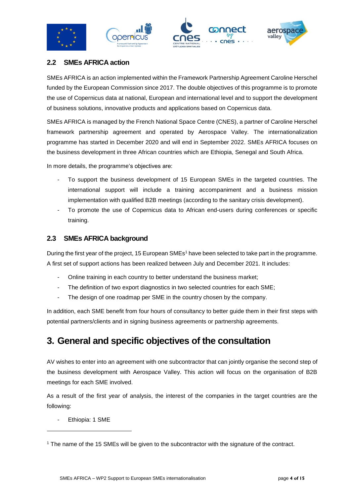



#### **2.2 SMEs AFRICA action**

SMEs AFRICA is an action implemented within the Framework Partnership Agreement Caroline Herschel funded by the European Commission since 2017. The double objectives of this programme is to promote the use of Copernicus data at national, European and international level and to support the development of business solutions, innovative products and applications based on Copernicus data.

SMEs AFRICA is managed by the French National Space Centre (CNES), a partner of Caroline Herschel framework partnership agreement and operated by Aerospace Valley. The internationalization programme has started in December 2020 and will end in September 2022. SMEs AFRICA focuses on the business development in three African countries which are Ethiopia, Senegal and South Africa.

In more details, the programme's objectives are:

- To support the business development of 15 European SMEs in the targeted countries. The international support will include a training accompaniment and a business mission implementation with qualified B2B meetings (according to the sanitary crisis development).
- To promote the use of Copernicus data to African end-users during conferences or specific training.

#### **2.3 SMEs AFRICA background**

During the first year of the project, 15 European SMEs<sup>1</sup> have been selected to take part in the programme. A first set of support actions has been realized between July and December 2021. It includes:

- Online training in each country to better understand the business market;
- The definition of two export diagnostics in two selected countries for each SME;
- The design of one roadmap per SME in the country chosen by the company.

In addition, each SME benefit from four hours of consultancy to better guide them in their first steps with potential partners/clients and in signing business agreements or partnership agreements.

#### <span id="page-3-0"></span>**3. General and specific objectives of the consultation**

AV wishes to enter into an agreement with one subcontractor that can jointly organise the second step of the business development with Aerospace Valley. This action will focus on the organisation of B2B meetings for each SME involved.

As a result of the first year of analysis, the interest of the companies in the target countries are the following:

Ethiopia: 1 SME

-

<sup>1</sup> The name of the 15 SMEs will be given to the subcontractor with the signature of the contract.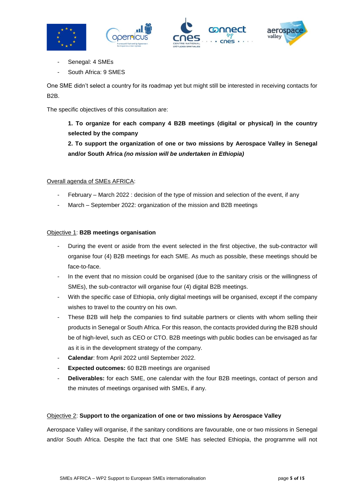





- Senegal: 4 SMEs
- South Africa: 9 SMES

One SME didn't select a country for its roadmap yet but might still be interested in receiving contacts for B2B.

The specific objectives of this consultation are:

**1. To organize for each company 4 B2B meetings (digital or physical) in the country selected by the company**

**2. To support the organization of one or two missions by Aerospace Valley in Senegal and/or South Africa** *(no mission will be undertaken in Ethiopia)*

#### Overall agenda of SMEs AFRICA:

- February March 2022 : decision of the type of mission and selection of the event, if any
- March September 2022: organization of the mission and B2B meetings

#### Objective 1: **B2B meetings organisation**

- During the event or aside from the event selected in the first objective, the sub-contractor will organise four (4) B2B meetings for each SME. As much as possible, these meetings should be face-to-face.
- In the event that no mission could be organised (due to the sanitary crisis or the willingness of SMEs), the sub-contractor will organise four (4) digital B2B meetings.
- With the specific case of Ethiopia, only digital meetings will be organised, except if the company wishes to travel to the country on his own.
- These B2B will help the companies to find suitable partners or clients with whom selling their products in Senegal or South Africa. For this reason, the contacts provided during the B2B should be of high-level, such as CEO or CTO. B2B meetings with public bodies can be envisaged as far as it is in the development strategy of the company.
- **Calendar**: from April 2022 until September 2022.
- **Expected outcomes:** 60 B2B meetings are organised
- **Deliverables:** for each SME, one calendar with the four B2B meetings, contact of person and the minutes of meetings organised with SMEs, if any.

#### Objective 2: **Support to the organization of one or two missions by Aerospace Valley**

Aerospace Valley will organise, if the sanitary conditions are favourable, one or two missions in Senegal and/or South Africa. Despite the fact that one SME has selected Ethiopia, the programme will not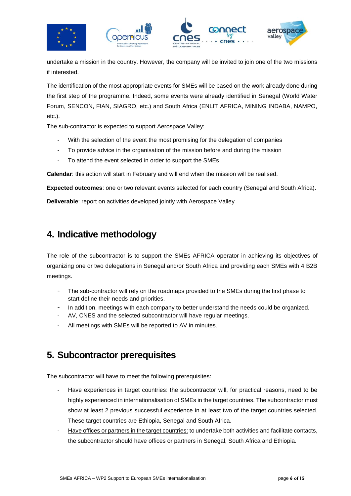

undertake a mission in the country. However, the company will be invited to join one of the two missions if interested.

The identification of the most appropriate events for SMEs will be based on the work already done during the first step of the programme. Indeed, some events were already identified in Senegal (World Water Forum, SENCON, FIAN, SIAGRO, etc.) and South Africa (ENLIT AFRICA, MINING INDABA, NAMPO, etc.).

The sub-contractor is expected to support Aerospace Valley:

- With the selection of the event the most promising for the delegation of companies
- To provide advice in the organisation of the mission before and during the mission
- To attend the event selected in order to support the SMEs

**Calendar**: this action will start in February and will end when the mission will be realised.

**Expected outcomes**: one or two relevant events selected for each country (Senegal and South Africa).

**Deliverable**: report on activities developed jointly with Aerospace Valley

#### <span id="page-5-0"></span>**4. Indicative methodology**

The role of the subcontractor is to support the SMEs AFRICA operator in achieving its objectives of organizing one or two delegations in Senegal and/or South Africa and providing each SMEs with 4 B2B meetings.

- The sub-contractor will rely on the roadmaps provided to the SMEs during the first phase to start define their needs and priorities.
- In addition, meetings with each company to better understand the needs could be organized.
- AV, CNES and the selected subcontractor will have regular meetings.
- All meetings with SMEs will be reported to AV in minutes.

#### <span id="page-5-1"></span>**5. Subcontractor prerequisites**

The subcontractor will have to meet the following prerequisites:

- Have experiences in target countries: the subcontractor will, for practical reasons, need to be highly experienced in internationalisation of SMEs in the target countries. The subcontractor must show at least 2 previous successful experience in at least two of the target countries selected. These target countries are Ethiopia, Senegal and South Africa.
- Have offices or partners in the target countries: to undertake both activities and facilitate contacts, the subcontractor should have offices or partners in Senegal, South Africa and Ethiopia.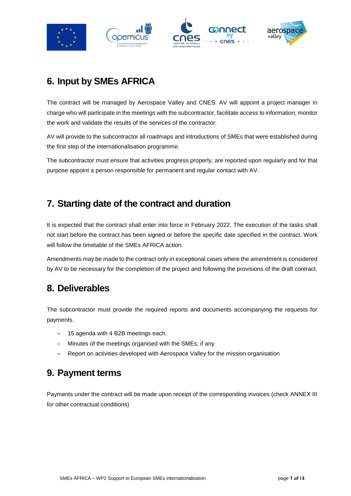

## <span id="page-6-0"></span>**6. Input by SMEs AFRICA**

The contract will be managed by Aerospace Valley and CNES. AV will appoint a project manager in charge who will participate in the meetings with the subcontractor, facilitate access to information, monitor the work and validate the results of the services of the contractor.

AV will provide to the subcontractor all roadmaps and introductions of SMEs that were established during the first step of the internationalisation programme.

The subcontractor must ensure that activities progress properly, are reported upon regularly and for that purpose appoint a person responsible for permanent and regular contact with AV.

### <span id="page-6-1"></span>**7. Starting date of the contract and duration**

It is expected that the contract shall enter into force in February 2022. The execution of the tasks shall not start before the contract has been signed or before the specific date specified in the contract. Work will follow the timetable of the SMEs AFRICA action.

Amendments may be made to the contract only in exceptional cases where the amendment is considered by AV to be necessary for the completion of the project and following the provisions of the draft contract.

### <span id="page-6-2"></span>**8. Deliverables**

The subcontractor must provide the required reports and documents accompanying the requests for payments.

- 15 agenda with 4 B2B meetings each.
- Minutes of the meetings organised with the SMEs, if any
- Report on activities developed with Aerospace Valley for the mission organisation

### <span id="page-6-3"></span>**9. Payment terms**

Payments under the contract will be made upon receipt of the corresponding invoices (check ANNEX III for other contractual conditions)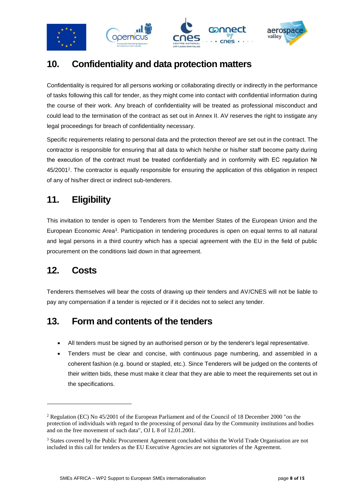



### <span id="page-7-0"></span>**10. Confidentiality and data protection matters**

Confidentiality is required for all persons working or collaborating directly or indirectly in the performance of tasks following this call for tender, as they might come into contact with confidential information during the course of their work. Any breach of confidentiality will be treated as professional misconduct and could lead to the termination of the contract as set out in Annex II. AV reserves the right to instigate any legal proceedings for breach of confidentiality necessary.

Specific requirements relating to personal data and the protection thereof are set out in the contract. The contractor is responsible for ensuring that all data to which he/she or his/her staff become party during the execution of the contract must be treated confidentially and in conformity with EC regulation № 45/2001<sup>2</sup> . The contractor is equally responsible for ensuring the application of this obligation in respect of any of his/her direct or indirect sub-tenderers.

## <span id="page-7-1"></span>**11. Eligibility**

This invitation to tender is open to Tenderers from the Member States of the European Union and the European Economic Area<sup>3</sup>. Participation in tendering procedures is open on equal terms to all natural and legal persons in a third country which has a special agreement with the EU in the field of public procurement on the conditions laid down in that agreement.

### <span id="page-7-2"></span>**12. Costs**

-

Tenderers themselves will bear the costs of drawing up their tenders and AV/CNES will not be liable to pay any compensation if a tender is rejected or if it decides not to select any tender.

#### <span id="page-7-3"></span>**13. Form and contents of the tenders**

- All tenders must be signed by an authorised person or by the tenderer's legal representative.
- Tenders must be clear and concise, with continuous page numbering, and assembled in a coherent fashion (e.g. bound or stapled, etc.). Since Tenderers will be judged on the contents of their written bids, these must make it clear that they are able to meet the requirements set out in the specifications.

<sup>2</sup> Regulation (EC) No 45/2001 of the European Parliament and of the Council of 18 December 2000 "on the protection of individuals with regard to the processing of personal data by the Community institutions and bodies and on the free movement of such data", OJ L 8 of 12.01.2001.

<sup>&</sup>lt;sup>3</sup> States covered by the Public Procurement Agreement concluded within the World Trade Organisation are not included in this call for tenders as the EU Executive Agencies are not signatories of the Agreement.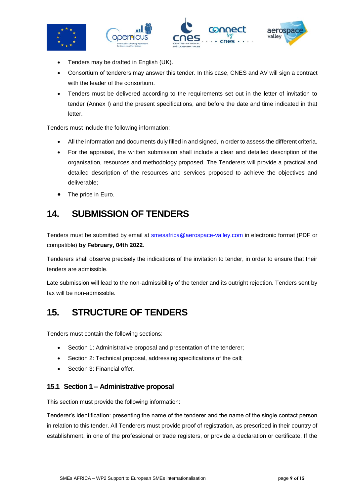

- Tenders may be drafted in English (UK).
- Consortium of tenderers may answer this tender. In this case, CNES and AV will sign a contract with the leader of the consortium.
- Tenders must be delivered according to the requirements set out in the letter of invitation to tender (Annex I) and the present specifications, and before the date and time indicated in that letter.

Tenders must include the following information:

- All the information and documents duly filled in and signed, in order to assess the different criteria.
- For the appraisal, the written submission shall include a clear and detailed description of the organisation, resources and methodology proposed. The Tenderers will provide a practical and detailed description of the resources and services proposed to achieve the objectives and deliverable;
- The price in Euro.

### <span id="page-8-0"></span>**14. SUBMISSION OF TENDERS**

Tenders must be submitted by email at [smesafrica@aerospace-valley.com](mailto:smesafrica@aerospace-valley.com) in electronic format (PDF or compatible) **by February, 04th 2022**.

Tenderers shall observe precisely the indications of the invitation to tender, in order to ensure that their tenders are admissible.

Late submission will lead to the non-admissibility of the tender and its outright rejection. Tenders sent by fax will be non-admissible.

### <span id="page-8-1"></span>**15. STRUCTURE OF TENDERS**

Tenders must contain the following sections:

- Section 1: Administrative proposal and presentation of the tenderer;
- Section 2: Technical proposal, addressing specifications of the call;
- Section 3: Financial offer.

#### **15.1 Section 1 – Administrative proposal**

This section must provide the following information:

Tenderer's identification: presenting the name of the tenderer and the name of the single contact person in relation to this tender. All Tenderers must provide proof of registration, as prescribed in their country of establishment, in one of the professional or trade registers, or provide a declaration or certificate. If the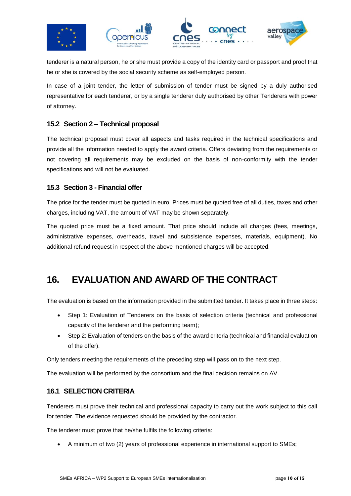

tenderer is a natural person, he or she must provide a copy of the identity card or passport and proof that he or she is covered by the social security scheme as self-employed person.

In case of a joint tender, the letter of submission of tender must be signed by a duly authorised representative for each tenderer, or by a single tenderer duly authorised by other Tenderers with power of attorney.

#### **15.2 Section 2 – Technical proposal**

The technical proposal must cover all aspects and tasks required in the technical specifications and provide all the information needed to apply the award criteria. Offers deviating from the requirements or not covering all requirements may be excluded on the basis of non-conformity with the tender specifications and will not be evaluated.

#### **15.3 Section 3 - Financial offer**

The price for the tender must be quoted in euro. Prices must be quoted free of all duties, taxes and other charges, including VAT, the amount of VAT may be shown separately.

The quoted price must be a fixed amount. That price should include all charges (fees, meetings, administrative expenses, overheads, travel and subsistence expenses, materials, equipment). No additional refund request in respect of the above mentioned charges will be accepted.

### <span id="page-9-0"></span>**16. EVALUATION AND AWARD OF THE CONTRACT**

The evaluation is based on the information provided in the submitted tender. It takes place in three steps:

- Step 1: Evaluation of Tenderers on the basis of selection criteria (technical and professional capacity of the tenderer and the performing team);
- Step 2: Evaluation of tenders on the basis of the award criteria (technical and financial evaluation of the offer).

Only tenders meeting the requirements of the preceding step will pass on to the next step.

The evaluation will be performed by the consortium and the final decision remains on AV.

#### **16.1 SELECTION CRITERIA**

Tenderers must prove their technical and professional capacity to carry out the work subject to this call for tender. The evidence requested should be provided by the contractor.

The tenderer must prove that he/she fulfils the following criteria:

A minimum of two (2) years of professional experience in international support to SMEs;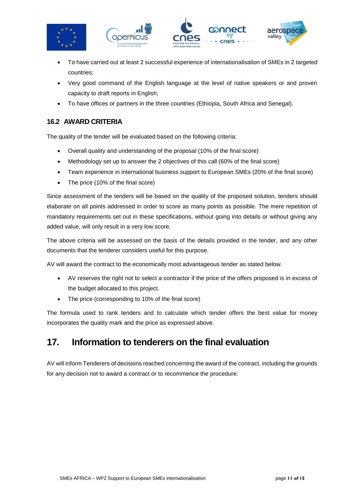







- To have carried out at least 2 successful experience of internationalisation of SMEs in 2 targeted countries;
- Very good command of the English language at the level of native speakers or and proven capacity to draft reports in English;
- To have offices or partners in the three countries (Ethiopia, South Africa and Senegal).

#### **16.2 AWARD CRITERIA**

The quality of the tender will be evaluated based on the following criteria:

- Overall quality and understanding of the proposal (10% of the final score)
- Methodology set up to answer the 2 objectives of this call (60% of the final score)
- Team experience in international business support to European SMEs (20% of the final score)
- The price (10% of the final score)

Since assessment of the tenders will be based on the quality of the proposed solution, tenders should elaborate on all points addressed in order to score as many points as possible. The mere repetition of mandatory requirements set out in these specifications, without going into details or without giving any added value, will only result in a very low score.

The above criteria will be assessed on the basis of the details provided in the tender, and any other documents that the tenderer considers useful for this purpose.

AV will award the contract to the economically most advantageous tender as stated below.

- AV reserves the right not to select a contractor if the price of the offers proposed is in excess of the budget allocated to this project.
- The price (corresponding to 10% of the final score)

The formula used to rank tenders and to calculate which tender offers the best value for money incorporates the quality mark and the price as expressed above.

#### <span id="page-10-0"></span>**17. Information to tenderers on the final evaluation**

AV will inform Tenderers of decisions reached concerning the award of the contract, including the grounds for any decision not to award a contract or to recommence the procedure.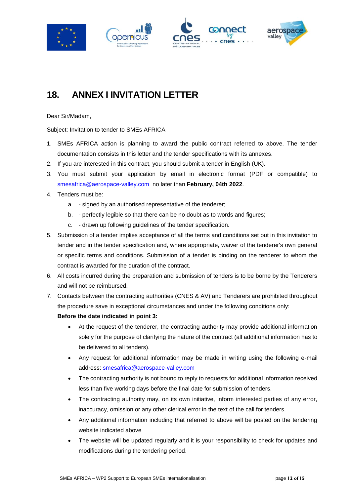

## <span id="page-11-0"></span>**18. ANNEX I INVITATION LETTER**

Dear Sir/Madam,

Subject: Invitation to tender to SMEs AFRICA

- 1. SMEs AFRICA action is planning to award the public contract referred to above. The tender documentation consists in this letter and the tender specifications with its annexes.
- 2. If you are interested in this contract, you should submit a tender in English (UK).
- 3. You must submit your application by email in electronic format (PDF or compatible) to [smesafrica@aerospace-valley.com](mailto:smesafrica@aerospace-valley.com) no later than **February, 04th 2022**.
- 4. Tenders must be:
	- a. signed by an authorised representative of the tenderer;
	- b. perfectly legible so that there can be no doubt as to words and figures;
	- c. drawn up following guidelines of the tender specification.
- 5. Submission of a tender implies acceptance of all the terms and conditions set out in this invitation to tender and in the tender specification and, where appropriate, waiver of the tenderer's own general or specific terms and conditions. Submission of a tender is binding on the tenderer to whom the contract is awarded for the duration of the contract.
- 6. All costs incurred during the preparation and submission of tenders is to be borne by the Tenderers and will not be reimbursed.
- 7. Contacts between the contracting authorities (CNES & AV) and Tenderers are prohibited throughout the procedure save in exceptional circumstances and under the following conditions only:

#### **Before the date indicated in point 3:**

- At the request of the tenderer, the contracting authority may provide additional information solely for the purpose of clarifying the nature of the contract (all additional information has to be delivered to all tenders).
- Any request for additional information may be made in writing using the following e-mail address: [smesafrica@aerospace-valley.com](mailto:smesafrica@aerospace-valley.com)
- The contracting authority is not bound to reply to requests for additional information received less than five working days before the final date for submission of tenders.
- The contracting authority may, on its own initiative, inform interested parties of any error, inaccuracy, omission or any other clerical error in the text of the call for tenders.
- Any additional information including that referred to above will be posted on the tendering website indicated above
- The website will be updated regularly and it is your responsibility to check for updates and modifications during the tendering period.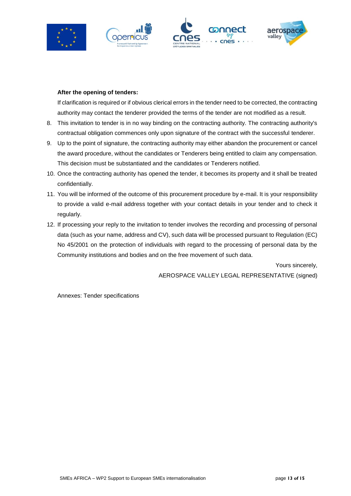



#### **After the opening of tenders:**

If clarification is required or if obvious clerical errors in the tender need to be corrected, the contracting authority may contact the tenderer provided the terms of the tender are not modified as a result.

- 8. This invitation to tender is in no way binding on the contracting authority. The contracting authority's contractual obligation commences only upon signature of the contract with the successful tenderer.
- 9. Up to the point of signature, the contracting authority may either abandon the procurement or cancel the award procedure, without the candidates or Tenderers being entitled to claim any compensation. This decision must be substantiated and the candidates or Tenderers notified.
- 10. Once the contracting authority has opened the tender, it becomes its property and it shall be treated confidentially.
- 11. You will be informed of the outcome of this procurement procedure by e-mail. It is your responsibility to provide a valid e-mail address together with your contact details in your tender and to check it regularly.
- 12. If processing your reply to the invitation to tender involves the recording and processing of personal data (such as your name, address and CV), such data will be processed pursuant to Regulation (EC) No 45/2001 on the protection of individuals with regard to the processing of personal data by the Community institutions and bodies and on the free movement of such data.

Yours sincerely,

AEROSPACE VALLEY LEGAL REPRESENTATIVE (signed)

Annexes: Tender specifications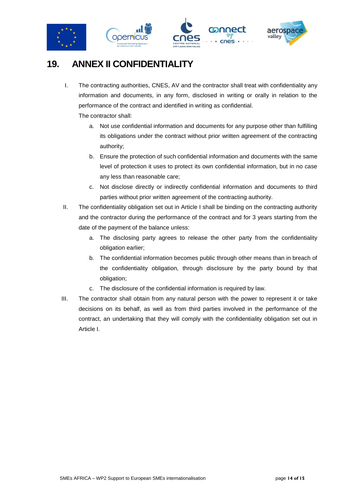

#### <span id="page-13-0"></span>**19. ANNEX II CONFIDENTIALITY**

- I. The contracting authorities, CNES, AV and the contractor shall treat with confidentiality any information and documents, in any form, disclosed in writing or orally in relation to the performance of the contract and identified in writing as confidential. The contractor shall:
	- a. Not use confidential information and documents for any purpose other than fulfilling its obligations under the contract without prior written agreement of the contracting authority;
	- b. Ensure the protection of such confidential information and documents with the same level of protection it uses to protect its own confidential information, but in no case any less than reasonable care;
	- c. Not disclose directly or indirectly confidential information and documents to third parties without prior written agreement of the contracting authority.
- II. The confidentiality obligation set out in Article I shall be binding on the contracting authority and the contractor during the performance of the contract and for 3 years starting from the date of the payment of the balance unless:
	- a. The disclosing party agrees to release the other party from the confidentiality obligation earlier;
	- b. The confidential information becomes public through other means than in breach of the confidentiality obligation, through disclosure by the party bound by that obligation;
	- c. The disclosure of the confidential information is required by law.
- III. The contractor shall obtain from any natural person with the power to represent it or take decisions on its behalf, as well as from third parties involved in the performance of the contract, an undertaking that they will comply with the confidentiality obligation set out in Article I.